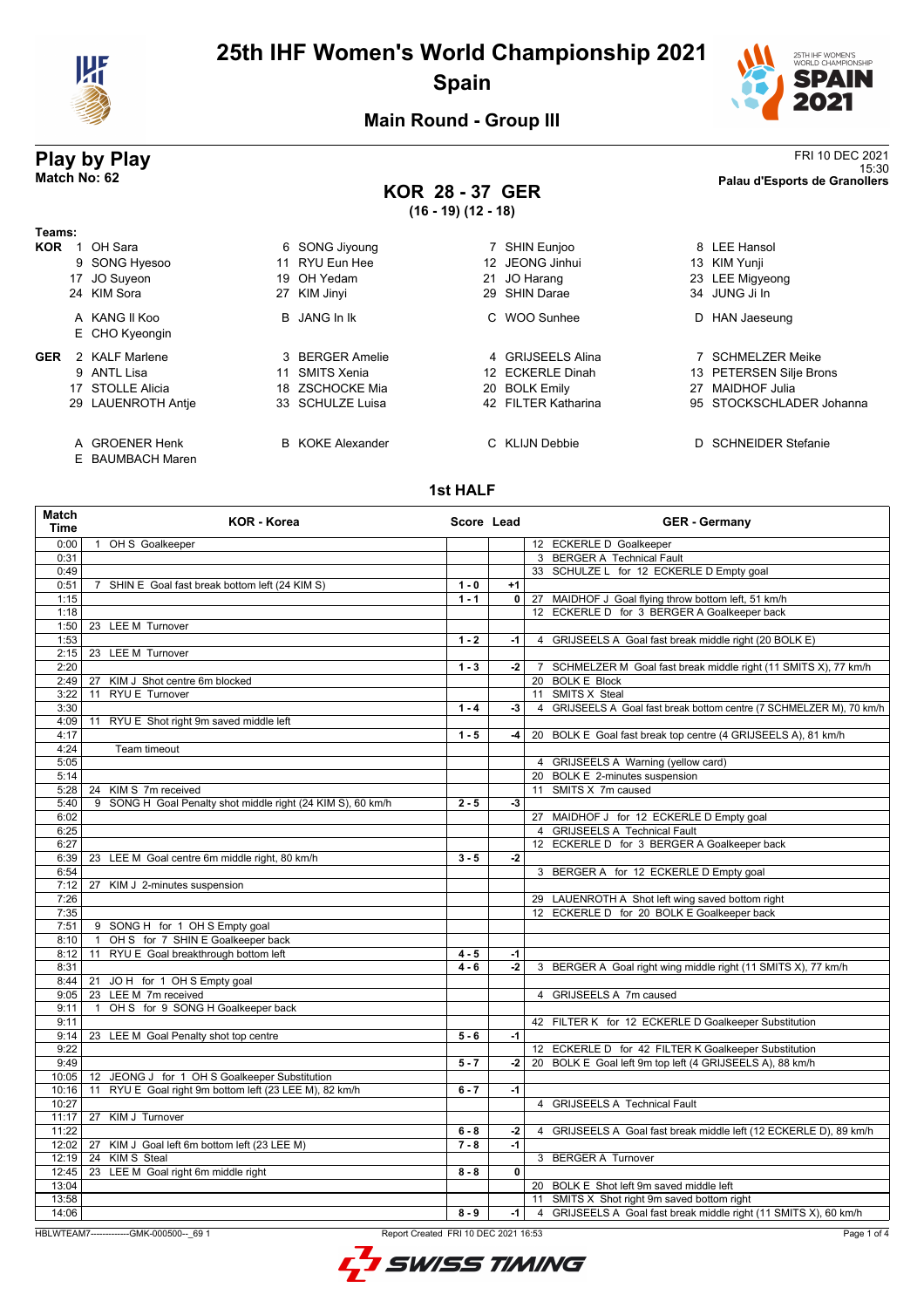

# **25th IHF Women's World Championship 2021 Spain**



15:30 **Match No: 62 Palau d'Esports de Granollers**

### **Main Round - Group III**

# **Play by Play**<br>Match No: 62<br>Palau d'Esports de Granollers

**KOR 28 - 37 GER (16 - 19) (12 - 18)**

| Teams:     |                                    |                         |                     |    |                           |
|------------|------------------------------------|-------------------------|---------------------|----|---------------------------|
| <b>KOR</b> | OH Sara                            | 6 SONG Jiyoung          | SHIN Eunjoo         |    | 8 LEE Hansol              |
|            | 9 SONG Hyesoo                      | 11 RYU Eun Hee          | 12 JEONG Jinhui     |    | 13 KIM Yunji              |
|            | 17 JO Suyeon                       | 19 OH Yedam             | JO Harang<br>21     |    | 23 LEE Migyeong           |
|            | 24 KIM Sora                        | 27 KIM Jinyi            | 29 SHIN Darae       |    | 34 JUNG Ji In             |
|            | A KANG II Koo                      | B JANG In Ik            | C WOO Sunhee        | D  | HAN Jaeseung              |
|            | E CHO Kyeongin                     |                         |                     |    |                           |
| <b>GER</b> | 2 KAI F Marlene                    | 3 BERGER Amelie         | 4 GRIJSEELS Alina   |    | <b>SCHMELZER Meike</b>    |
|            | 9 ANTL Lisa                        | 11 SMITS Xenia          | 12 ECKERLE Dinah    |    | 13 PETERSEN Silje Brons   |
|            | 17 STOLLE Alicia                   | 18 ZSCHOCKE Mia         | 20 BOLK Emily       | 27 | <b>MAIDHOF Julia</b>      |
|            | 29 LAUENROTH Antie                 | 33 SCHULZE Luisa        | 42 FILTER Katharina |    | 95 STOCKSCHLADER Johanna  |
|            | A GROENER Henk<br>E BAUMBACH Maren | <b>B</b> KOKE Alexander | C KLIJN Debbie      | D. | <b>SCHNEIDER Stefanie</b> |

#### **1st HALF**

| <b>Match</b><br><b>Time</b> | <b>KOR - Korea</b>                                          | Score Lead |                         | <b>GER - Germany</b>                                                 |
|-----------------------------|-------------------------------------------------------------|------------|-------------------------|----------------------------------------------------------------------|
| 0:00                        | 1 OH S Goalkeeper                                           |            |                         | 12 ECKERLE D Goalkeeper                                              |
| 0:31                        |                                                             |            |                         | 3 BERGER A Technical Fault                                           |
| 0:49                        |                                                             |            |                         | 33 SCHULZE L for 12 ECKERLE D Empty goal                             |
| 0:51                        | 7 SHIN E Goal fast break bottom left (24 KIM S)             | $1 - 0$    | $+1$                    |                                                                      |
| 1:15                        |                                                             | $1 - 1$    |                         | 0 27 MAIDHOF J Goal flying throw bottom left, 51 km/h                |
| 1:18                        |                                                             |            |                         | 12 ECKERLE D for 3 BERGER A Goalkeeper back                          |
| 1:50                        | 23 LEE M Turnover                                           |            |                         |                                                                      |
| 1:53                        |                                                             | $1 - 2$    | -1                      | 4 GRIJSEELS A Goal fast break middle right (20 BOLK E)               |
| 2:15                        | 23 LEE M Turnover                                           |            |                         |                                                                      |
| 2:20                        |                                                             | $1 - 3$    | $-2$                    | 7 SCHMELZER M Goal fast break middle right (11 SMITS X), 77 km/h     |
| 2:49                        | KIM J Shot centre 6m blocked<br>27                          |            |                         | 20 BOLK E Block                                                      |
| 3:22                        | 11 RYU E Turnover                                           |            |                         | 11 SMITS X Steal                                                     |
| 3:30                        |                                                             | $1 - 4$    | -3                      | 4 GRIJSEELS A Goal fast break bottom centre (7 SCHMELZER M), 70 km/h |
| 4:09                        | 11 RYU E Shot right 9m saved middle left                    |            |                         |                                                                      |
| 4:17                        |                                                             | $1 - 5$    | -4 l                    | 20 BOLK E Goal fast break top centre (4 GRIJSEELS A), 81 km/h        |
| 4:24                        | Team timeout                                                |            |                         |                                                                      |
| 5:05                        |                                                             |            |                         | 4 GRIJSEELS A Warning (yellow card)                                  |
| 5:14                        |                                                             |            |                         | 20 BOLK E 2-minutes suspension                                       |
| 5:28                        | 24 KIM S 7m received                                        |            |                         | 11 SMITS X 7m caused                                                 |
| 5:40                        | 9 SONG H Goal Penalty shot middle right (24 KIM S), 60 km/h | $2 - 5$    | $-3$                    |                                                                      |
| 6:02                        |                                                             |            |                         | 27 MAIDHOF J for 12 ECKERLE D Empty goal                             |
| 6:25                        |                                                             |            |                         | 4 GRIJSEELS A Technical Fault                                        |
| 6:27                        |                                                             |            |                         | 12 ECKERLE D for 3 BERGER A Goalkeeper back                          |
| 6:39                        | 23 LEE M Goal centre 6m middle right, 80 km/h               | $3 - 5$    | $-2$                    |                                                                      |
| 6:54                        |                                                             |            |                         | 3 BERGER A for 12 ECKERLE D Empty goal                               |
| 7:12                        | 27<br>KIM J 2-minutes suspension                            |            |                         |                                                                      |
| 7:26                        |                                                             |            |                         | 29 LAUENROTH A Shot left wing saved bottom right                     |
| 7:35                        |                                                             |            |                         | 12 ECKERLE D for 20 BOLK E Goalkeeper back                           |
| 7:51                        | 9 SONG H for 1 OH S Empty goal                              |            |                         |                                                                      |
| 8:10                        | OH S for 7 SHIN E Goalkeeper back<br>$\mathbf{1}$           |            |                         |                                                                      |
| 8:12                        | 11 RYU E Goal breakthrough bottom left                      | $4 - 5$    | $-1$                    |                                                                      |
| 8:31                        |                                                             | $4 - 6$    | $-2$                    | 3 BERGER A Goal right wing middle right (11 SMITS X), 77 km/h        |
| 8:44                        | 21 JOH for 1 OH S Empty goal                                |            |                         |                                                                      |
|                             | 23 LEE M 7m received                                        |            |                         | 4 GRIJSEELS A 7m caused                                              |
| 9:05<br>9:11                | OH S for 9 SONG H Goalkeeper back                           |            |                         |                                                                      |
| 9:11                        | $\mathbf{1}$                                                |            |                         |                                                                      |
| 9:14                        |                                                             | $5 - 6$    | $-1$                    | 42 FILTER K for 12 ECKERLE D Goalkeeper Substitution                 |
| 9:22                        | 23 LEE M Goal Penalty shot top centre                       |            |                         |                                                                      |
| 9:49                        |                                                             |            |                         | 12 ECKERLE D for 42 FILTER K Goalkeeper Substitution                 |
|                             |                                                             | $5 - 7$    | -2                      | 20 BOLK E Goal left 9m top left (4 GRIJSEELS A), 88 km/h             |
| 10:05                       | 12 JEONG J for 1 OH S Goalkeeper Substitution               |            |                         |                                                                      |
| 10:16                       | 11 RYU E Goal right 9m bottom left (23 LEE M), 82 km/h      | $6 - 7$    | $-1$                    |                                                                      |
| 10:27                       |                                                             |            |                         | 4 GRIJSEELS A Technical Fault                                        |
| 11:17                       | 27 KIM J Turnover                                           |            |                         |                                                                      |
| 11:22                       |                                                             | $6 - 8$    | $-2$                    | 4 GRIJSEELS A Goal fast break middle left (12 ECKERLE D), 89 km/h    |
| 12:02                       | 27 KIM J Goal left 6m bottom left (23 LEE M)                | $7 - 8$    | $-1$                    |                                                                      |
| 12:19                       | 24 KIMS Steal                                               |            |                         | 3 BERGER A Turnover                                                  |
| 12:45                       | 23 LEE M Goal right 6m middle right                         | $8 - 8$    | $\overline{\mathbf{0}}$ |                                                                      |
| 13:04                       |                                                             |            |                         | 20 BOLK E Shot left 9m saved middle left                             |
| 13:58                       |                                                             |            |                         | 11 SMITS X Shot right 9m saved bottom right                          |
| 14:06                       |                                                             | $8 - 9$    | -1                      | 4 GRIJSEELS A Goal fast break middle right (11 SMITS X), 60 km/h     |

HBLWTEAM7--------------GMK-000500--\_69 1 Report Created FRI 10 DEC 2021 16:53

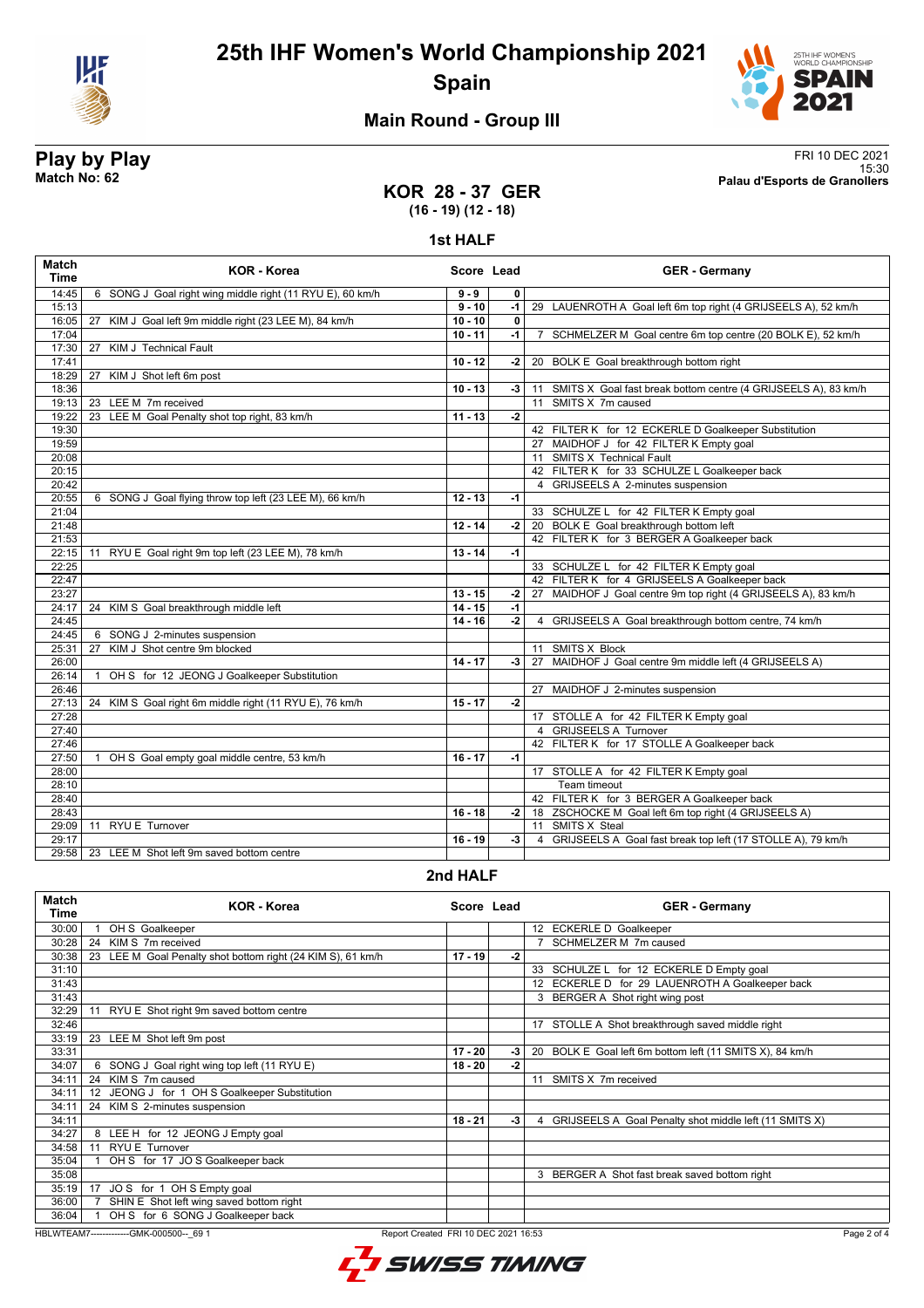



## **Main Round - Group III**

### **KOR 28 - 37 GER (16 - 19) (12 - 18)**

**Play by Play**<br>Match No: 62<br>Palau d'Esports de Granollers 15:30 **Match No: 62 Palau d'Esports de Granollers**

# **1st HALF**

| Match<br><b>Time</b> | <b>KOR - Korea</b>                                          | Score Lead |              | <b>GER</b> - Germany                                              |
|----------------------|-------------------------------------------------------------|------------|--------------|-------------------------------------------------------------------|
| 14:45                | 6 SONG J Goal right wing middle right (11 RYU E), 60 km/h   | $9 - 9$    | $\mathbf{0}$ |                                                                   |
| 15:13                |                                                             | $9 - 10$   | $-1$         | 29 LAUENROTH A Goal left 6m top right (4 GRIJSEELS A), 52 km/h    |
| 16:05                | 27 KIM J Goal left 9m middle right (23 LEE M), 84 km/h      | $10 - 10$  | $\mathbf{0}$ |                                                                   |
| 17:04                |                                                             | $10 - 11$  | $-1$         | 7 SCHMELZER M Goal centre 6m top centre (20 BOLK E), 52 km/h      |
| 17:30                | <b>KIM J Technical Fault</b><br>27                          |            |              |                                                                   |
| 17:41                |                                                             | $10 - 12$  | $-2$         | 20 BOLK E Goal breakthrough bottom right                          |
| 18:29                | KIM J Shot left 6m post<br>27                               |            |              |                                                                   |
| 18:36                |                                                             | $10 - 13$  | -3           | 11 SMITS X Goal fast break bottom centre (4 GRIJSEELS A), 83 km/h |
| 19:13                | 23 LEE M 7m received                                        |            |              | 11 SMITS X 7m caused                                              |
| 19:22                | 23 LEE M Goal Penalty shot top right, 83 km/h               | $11 - 13$  | $-2$         |                                                                   |
| 19:30                |                                                             |            |              | 42 FILTER K for 12 ECKERLE D Goalkeeper Substitution              |
| 19:59                |                                                             |            |              | 27 MAIDHOF J for 42 FILTER K Empty goal                           |
| 20:08                |                                                             |            |              | 11 SMITS X Technical Fault                                        |
| 20:15                |                                                             |            |              | 42 FILTER K for 33 SCHULZE L Goalkeeper back                      |
| 20:42                |                                                             |            |              | 4 GRIJSEELS A 2-minutes suspension                                |
| 20:55                | 6 SONG J Goal flying throw top left (23 LEE M), 66 km/h     | $12 - 13$  | $-1$         |                                                                   |
| 21:04                |                                                             |            |              | 33 SCHULZE L for 42 FILTER K Empty goal                           |
| 21:48                |                                                             | $12 - 14$  | $-2$         | 20 BOLK E Goal breakthrough bottom left                           |
| 21:53                |                                                             |            |              | 42 FILTER K for 3 BERGER A Goalkeeper back                        |
| 22:15                | RYU E Goal right 9m top left (23 LEE M), 78 km/h<br>11      | $13 - 14$  | $-1$         |                                                                   |
| 22:25                |                                                             |            |              | 33 SCHULZE L for 42 FILTER K Empty goal                           |
| 22:47                |                                                             |            |              | 42 FILTER K for 4 GRIJSEELS A Goalkeeper back                     |
| 23:27                |                                                             | $13 - 15$  | $-2$         | 27 MAIDHOF J Goal centre 9m top right (4 GRIJSEELS A), 83 km/h    |
| 24:17                | 24 KIM S Goal breakthrough middle left                      | $14 - 15$  | $-1$         |                                                                   |
| 24:45                |                                                             | $14 - 16$  | $-2$         | 4 GRIJSEELS A Goal breakthrough bottom centre, 74 km/h            |
| 24:45                | 6 SONG J 2-minutes suspension                               |            |              |                                                                   |
| 25:31                | KIM J Shot centre 9m blocked<br>27                          |            |              | 11 SMITS X Block                                                  |
| 26:00                |                                                             | $14 - 17$  | $-3$         | 27 MAIDHOF J Goal centre 9m middle left (4 GRIJSEELS A)           |
| 26:14                | OH S for 12 JEONG J Goalkeeper Substitution<br>$\mathbf{1}$ |            |              |                                                                   |
| 26:46                |                                                             |            |              | 27 MAIDHOF J 2-minutes suspension                                 |
| 27:13                | KIM S Goal right 6m middle right (11 RYU E), 76 km/h<br>24  | $15 - 17$  | $-2$         |                                                                   |
| 27:28                |                                                             |            |              | 17 STOLLE A for 42 FILTER K Empty goal                            |
| 27:40                |                                                             |            |              | 4 GRIJSEELS A Turnover                                            |
| 27:46                |                                                             |            |              | 42 FILTER K for 17 STOLLE A Goalkeeper back                       |
| 27:50                | OH S Goal empty goal middle centre, 53 km/h                 | $16 - 17$  | $-1$         |                                                                   |
| 28:00                |                                                             |            |              | 17 STOLLE A for 42 FILTER K Empty goal                            |
| 28:10                |                                                             |            |              | Team timeout                                                      |
| 28:40                |                                                             |            |              | 42 FILTER K for 3 BERGER A Goalkeeper back                        |
| 28:43                |                                                             | $16 - 18$  |              | -2 18 ZSCHOCKE M Goal left 6m top right (4 GRIJSEELS A)           |
| 29:09                | 11 RYU E Turnover                                           |            |              | 11 SMITS X Steal                                                  |
| 29:17                |                                                             | $16 - 19$  | -3           | 4 GRIJSEELS A Goal fast break top left (17 STOLLE A), 79 km/h     |
| 29:58                | 23 LEE M Shot left 9m saved bottom centre                   |            |              |                                                                   |

### **2nd HALF**

| <b>Match</b><br>Time | KOR - Korea                                                     | Score Lead |    | <b>GER</b> - Germany                                     |
|----------------------|-----------------------------------------------------------------|------------|----|----------------------------------------------------------|
| 30:00                | OH S Goalkeeper                                                 |            |    | 12 ECKERLE D Goalkeeper                                  |
| 30:28                | 24 KIM S 7m received                                            |            |    | SCHMELZER M 7m caused                                    |
| 30:38                | LEE M Goal Penalty shot bottom right (24 KIM S), 61 km/h<br>23  | $17 - 19$  | -2 |                                                          |
| 31:10                |                                                                 |            |    | 33 SCHULZE L for 12 ECKERLE D Empty goal                 |
| 31:43                |                                                                 |            |    | 12 ECKERLE D for 29 LAUENROTH A Goalkeeper back          |
| 31:43                |                                                                 |            |    | 3 BERGER A Shot right wing post                          |
| 32:29                | RYU E Shot right 9m saved bottom centre<br>11                   |            |    |                                                          |
| 32:46                |                                                                 |            |    | 17 STOLLE A Shot breakthrough saved middle right         |
| 33:19                | 23 LEE M Shot left 9m post                                      |            |    |                                                          |
| 33:31                |                                                                 | $17 - 20$  | -3 | 20 BOLK E Goal left 6m bottom left (11 SMITS X), 84 km/h |
| 34:07                | SONG J Goal right wing top left (11 RYU E)<br>6                 | 18 - 20    | -2 |                                                          |
| 34:11                | 24 KIM S 7m caused                                              |            |    | 11 SMITS X 7m received                                   |
| 34:11                | JEONG J for 1 OH S Goalkeeper Substitution<br>$12 \overline{ }$ |            |    |                                                          |
| 34:11                | 24 KIM S 2-minutes suspension                                   |            |    |                                                          |
| 34:11                |                                                                 | $18 - 21$  | -3 | 4 GRIJSEELS A Goal Penalty shot middle left (11 SMITS X) |
| 34:27                | LEE H for 12 JEONG J Empty goal<br>8                            |            |    |                                                          |
| 34:58                | RYU E Turnover<br>11                                            |            |    |                                                          |
| 35:04                | OH S for 17 JO S Goalkeeper back                                |            |    |                                                          |
| 35:08                |                                                                 |            |    | 3 BERGER A Shot fast break saved bottom right            |
| 35:19                | JOS for 1 OH S Empty goal<br>17                                 |            |    |                                                          |
| 36:00                | SHIN E Shot left wing saved bottom right                        |            |    |                                                          |
| 36:04                | OH S for 6 SONG J Goalkeeper back                               |            |    |                                                          |

HBLWTEAM7-------------GMK-000500--\_69 1 Report Created FRI 10 DEC 2021 16:53

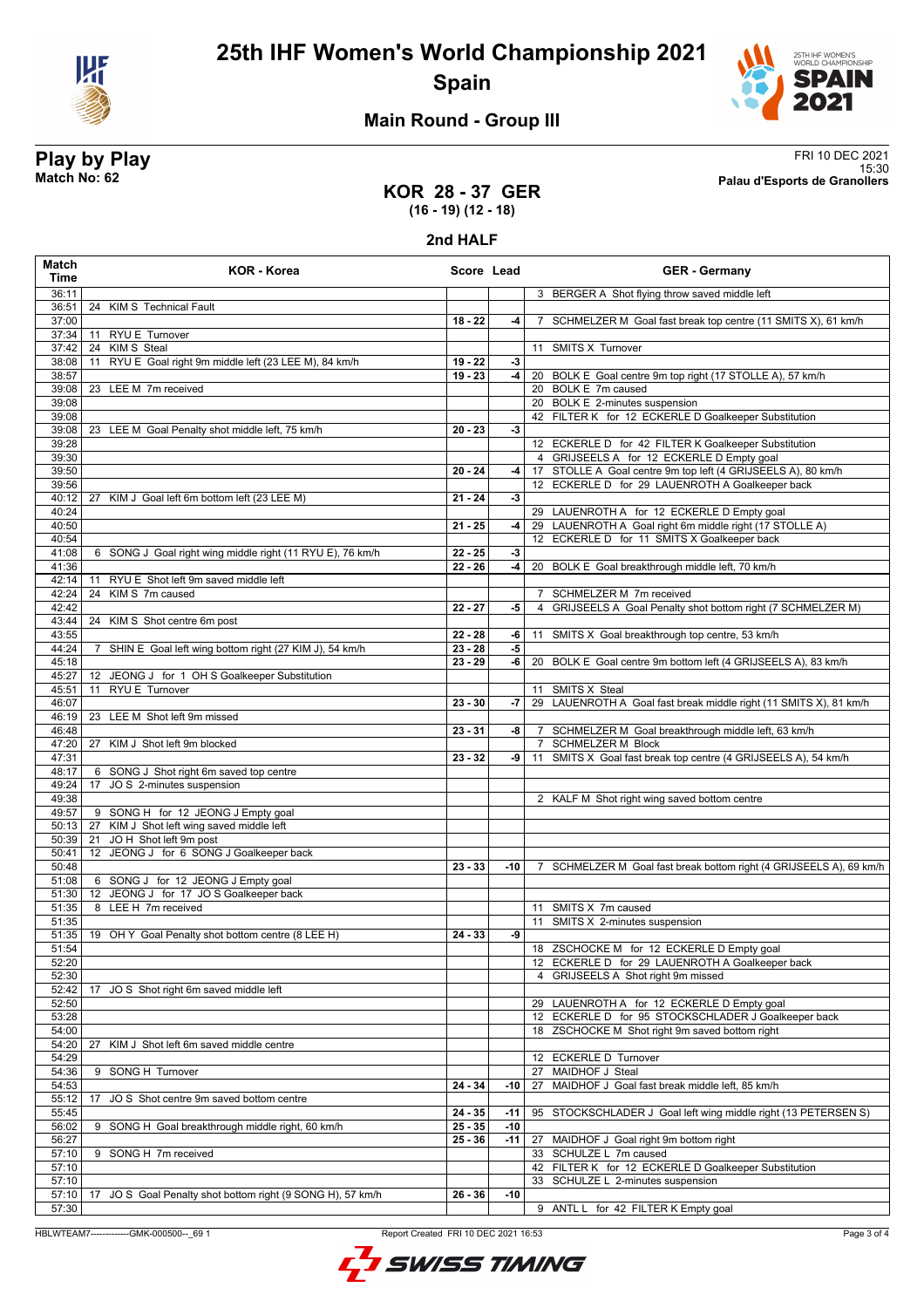



## **Main Round - Group III**

**Play by Play**<br>Match No: 62<br>Palau d'Esports de Granollers 15:30 **Match No: 62 Palau d'Esports de Granollers**

#### **KOR 28 - 37 GER (16 - 19) (12 - 18)**

**2nd HALF**

| Match<br>Time  | <b>KOR - Korea</b>                                                       | Score Lead             |       | <b>GER</b> - Germany                                                                  |
|----------------|--------------------------------------------------------------------------|------------------------|-------|---------------------------------------------------------------------------------------|
| 36:11          |                                                                          |                        |       | 3 BERGER A Shot flying throw saved middle left                                        |
| 36:51          | 24<br><b>KIM S</b> Technical Fault                                       |                        |       |                                                                                       |
| 37:00          |                                                                          | $18 - 22$              | $-4$  | 7 SCHMELZER M Goal fast break top centre (11 SMITS X), 61 km/h                        |
| 37:34          | 11 RYU E Turnover                                                        |                        |       |                                                                                       |
| 37:42          | 24 KIMS Steal                                                            |                        |       | 11 SMITS X Turnover                                                                   |
| 38:08          | 11 RYU E Goal right 9m middle left (23 LEE M), 84 km/h                   | $19 - 22$<br>$19 - 23$ | $-3$  |                                                                                       |
| 38:57<br>39:08 | 23 LEE M 7m received                                                     |                        |       | -4   20 BOLK E Goal centre 9m top right (17 STOLLE A), 57 km/h<br>20 BOLK E 7m caused |
| 39:08          |                                                                          |                        |       | 20 BOLK E 2-minutes suspension                                                        |
| 39:08          |                                                                          |                        |       | 42 FILTER K for 12 ECKERLE D Goalkeeper Substitution                                  |
| 39:08          | 23 LEE M Goal Penalty shot middle left, 75 km/h                          | $20 - 23$              | $-3$  |                                                                                       |
| 39:28          |                                                                          |                        |       | 12 ECKERLE D for 42 FILTER K Goalkeeper Substitution                                  |
| 39:30          |                                                                          |                        |       | 4 GRIJSEELS A for 12 ECKERLE D Empty goal                                             |
| 39:50          |                                                                          | $20 - 24$              | $-4$  | 17 STOLLE A Goal centre 9m top left (4 GRIJSEELS A), 80 km/h                          |
| 39:56          |                                                                          |                        |       | 12 ECKERLE D for 29 LAUENROTH A Goalkeeper back                                       |
| 40:12          | KIM J Goal left 6m bottom left (23 LEE M)<br>27                          | $21 - 24$              | $-3$  |                                                                                       |
| 40:24          |                                                                          |                        |       | 29 LAUENROTH A for 12 ECKERLE D Empty goal                                            |
| 40:50          |                                                                          | $21 - 25$              | $-4$  | 29 LAUENROTH A Goal right 6m middle right (17 STOLLE A)                               |
| 40:54          |                                                                          |                        |       | 12 ECKERLE D for 11 SMITS X Goalkeeper back                                           |
| 41:08          | 6 SONG J Goal right wing middle right (11 RYU E), 76 km/h                | $22 - 25$              | $-3$  |                                                                                       |
| 41:36          |                                                                          | $22 - 26$              | $-4$  | 20 BOLK E Goal breakthrough middle left, 70 km/h                                      |
| 42:14          | 11 RYU E Shot left 9m saved middle left                                  |                        |       |                                                                                       |
| 42:24          | KIM S 7m caused<br>24                                                    |                        |       | 7 SCHMELZER M 7m received                                                             |
| 42:42<br>43:44 | 24 KIM S Shot centre 6m post                                             | $22 - 27$              | -5    | GRIJSEELS A Goal Penalty shot bottom right (7 SCHMELZER M)<br>4                       |
| 43:55          |                                                                          | $22 - 28$              | -6    | 11 SMITS X Goal breakthrough top centre, 53 km/h                                      |
| 44:24          | SHIN E Goal left wing bottom right (27 KIM J), 54 km/h<br>$\overline{7}$ | $23 - 28$              | -5    |                                                                                       |
| 45:18          |                                                                          | $23 - 29$              | $-6$  | 20 BOLK E Goal centre 9m bottom left (4 GRIJSEELS A), 83 km/h                         |
| 45:27          | 12 JEONG J for 1 OH S Goalkeeper Substitution                            |                        |       |                                                                                       |
| 45:51          | RYU E Turnover<br>11                                                     |                        |       | 11 SMITS X Steal                                                                      |
| 46:07          |                                                                          | $23 - 30$              | $-7$  | 29 LAUENROTH A Goal fast break middle right (11 SMITS X), 81 km/h                     |
| 46:19          | 23 LEE M Shot left 9m missed                                             |                        |       |                                                                                       |
| 46:48          |                                                                          | $23 - 31$              | $-8$  | 7 SCHMELZER M Goal breakthrough middle left, 63 km/h                                  |
| 47:20          | 27 KIM J Shot left 9m blocked                                            |                        |       | 7 SCHMELZER M Block                                                                   |
| 47:31          |                                                                          | $23 - 32$              | -9    | 11 SMITS X Goal fast break top centre (4 GRIJSEELS A), 54 km/h                        |
| 48:17          | 6 SONG J Shot right 6m saved top centre                                  |                        |       |                                                                                       |
| 49:24          | JO S 2-minutes suspension<br>17                                          |                        |       |                                                                                       |
| 49:38          |                                                                          |                        |       | 2 KALF M Shot right wing saved bottom centre                                          |
| 49:57          | 9 SONG H for 12 JEONG J Empty goal                                       |                        |       |                                                                                       |
| 50:13<br>50:39 | 27 KIM J Shot left wing saved middle left<br>JOH Shot left 9m post<br>21 |                        |       |                                                                                       |
| 50:41          | 12 JEONG J for 6 SONG J Goalkeeper back                                  |                        |       |                                                                                       |
| 50:48          |                                                                          | $23 - 33$              | -10   | 7 SCHMELZER M Goal fast break bottom right (4 GRIJSEELS A), 69 km/h                   |
| 51:08          | 6 SONG J for 12 JEONG J Empty goal                                       |                        |       |                                                                                       |
| 51:30          | 12 JEONG J for 17 JO S Goalkeeper back                                   |                        |       |                                                                                       |
| 51:35          | 8 LEE H 7m received                                                      |                        |       | 11 SMITS X 7m caused                                                                  |
| 51:35          |                                                                          |                        |       | 11 SMITS X 2-minutes suspension                                                       |
| 51:35          | 19 OH Y Goal Penalty shot bottom centre (8 LEE H)                        | $24 - 33$              | -9    |                                                                                       |
| 51:54          |                                                                          |                        |       | 18 ZSCHOCKE M for 12 ECKERLE D Empty goal                                             |
| 52:20          |                                                                          |                        |       | 12 ECKERLE D for 29 LAUENROTH A Goalkeeper back                                       |
| 52:30          |                                                                          |                        |       | GRIJSEELS A Shot right 9m missed<br>4                                                 |
| 52:42          | JO S Shot right 6m saved middle left<br>17                               |                        |       |                                                                                       |
| 52:50          |                                                                          |                        |       | 29 LAUENROTH A for 12 ECKERLE D Empty goal                                            |
| 53:28          |                                                                          |                        |       | 12 ECKERLE D for 95 STOCKSCHLADER J Goalkeeper back                                   |
| 54:00          |                                                                          |                        |       | 18 ZSCHOCKE M Shot right 9m saved bottom right                                        |
| 54:20<br>54:29 | KIM J Shot left 6m saved middle centre<br>27                             |                        |       | 12 ECKERLE D Turnover                                                                 |
| 54:36          | 9 SONG H Turnover                                                        |                        |       | 27 MAIDHOF J Steal                                                                    |
| 54:53          |                                                                          | $24 - 34$              | $-10$ | MAIDHOF J Goal fast break middle left, 85 km/h<br>27                                  |
| 55:12          | 17<br>JO S Shot centre 9m saved bottom centre                            |                        |       |                                                                                       |
| 55:45          |                                                                          | $24 - 35$              | -11   | 95 STOCKSCHLADER J Goal left wing middle right (13 PETERSEN S)                        |
| 56:02          | 9 SONG H Goal breakthrough middle right, 60 km/h                         | $25 - 35$              | $-10$ |                                                                                       |
| 56:27          |                                                                          | $25 - 36$              | -11   | 27 MAIDHOF J Goal right 9m bottom right                                               |
| 57:10          | 9 SONG H 7m received                                                     |                        |       | 33 SCHULZE L 7m caused                                                                |
| 57:10          |                                                                          |                        |       | 42 FILTER K for 12 ECKERLE D Goalkeeper Substitution                                  |
| 57:10          |                                                                          |                        |       | 33 SCHULZE L 2-minutes suspension                                                     |
| 57:10          | JO S Goal Penalty shot bottom right (9 SONG H), 57 km/h<br>17            | 26 - 36                | $-10$ |                                                                                       |
| 57:30          |                                                                          |                        |       | 9 ANTL L for 42 FILTER K Empty goal                                                   |